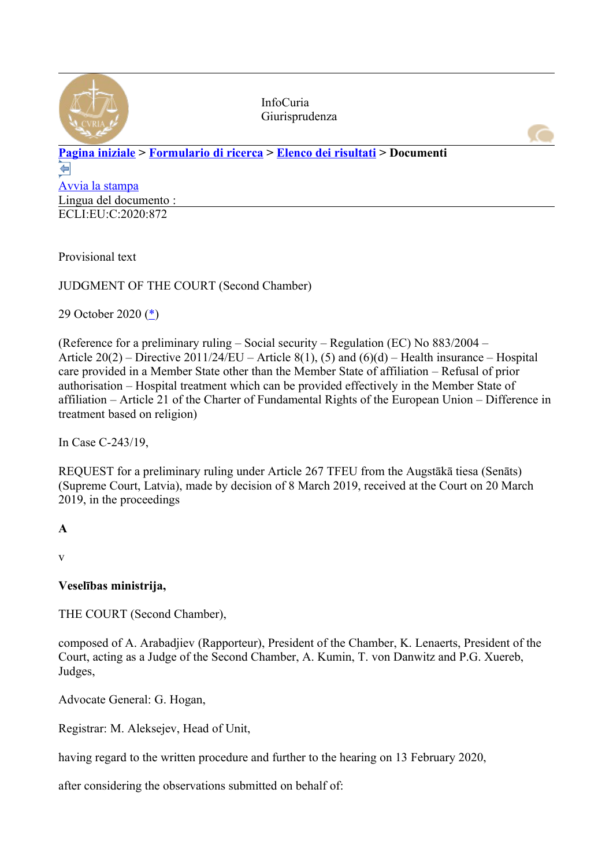

InfoCuria Giurisprudenza

# **[Pagina iniziale](http://curia.europa.eu/jcms/jcms/j_6?PortalAction_x_000_userLang=it) > [Formulario di ricerca](http://curia.europa.eu/juris/document/document.jsf?docid=233023&text=&dir=&doclang=EN&part=1&occ=first&mode=lst&pageIndex=0&actionMethod=document%2Fdocument.xhtml%3AformController.resetAction&cid=14034870) > [Elenco dei risultati](http://curia.europa.eu/juris/documents.jsf?oqp=&for=&mat=or&lgrec=it&jge=&td=%3BALL&jur=C%2CT%2CF&num=C-243%252F19&page=1&dates=&pcs=Oor&lg=&pro=&nat=or&cit=none%252CC%252CCJ%252CR%252C2008E%252C%252C%252C%252C%252C%252C%252C%252C%252C%252Ctrue%252Cfalse%252Cfalse&language=it&avg=&cid=14034870) > Documenti**  ⇚

[Avvia la stampa](http://curia.europa.eu/juris/document/document_print.jsf?docid=233023&text=&dir=&doclang=EN&part=1&occ=first&mode=lst&pageIndex=0&cid=14034870) Lingua del documento : ECLI:EU:C:2020:872

Provisional text

JUDGMENT OF THE COURT (Second Chamber)

29 October 2020 [\(\\*](http://curia.europa.eu/juris/document/document.jsf?text=&docid=233023&pageIndex=0&doclang=EN&mode=lst&dir=&occ=first&part=1&cid=14034870#Footnote*))

(Reference for a preliminary ruling – Social security – Regulation (EC) No 883/2004 – Article  $20(2)$  – Directive  $2011/24/EU$  – Article 8(1), (5) and (6)(d) – Health insurance – Hospital care provided in a Member State other than the Member State of affiliation – Refusal of prior authorisation – Hospital treatment which can be provided effectively in the Member State of affiliation – Article 21 of the Charter of Fundamental Rights of the European Union – Difference in treatment based on religion)

In Case C-243/19,

REQUEST for a preliminary ruling under Article 267 TFEU from the Augstākā tiesa (Senāts) (Supreme Court, Latvia), made by decision of 8 March 2019, received at the Court on 20 March 2019, in the proceedings

### **A**

v

### **Veselības ministrija,**

THE COURT (Second Chamber),

composed of A. Arabadjiev (Rapporteur), President of the Chamber, K. Lenaerts, President of the Court, acting as a Judge of the Second Chamber, A. Kumin, T. von Danwitz and P.G. Xuereb, Judges,

Advocate General: G. Hogan,

Registrar: M. Aleksejev, Head of Unit,

having regard to the written procedure and further to the hearing on 13 February 2020,

after considering the observations submitted on behalf of: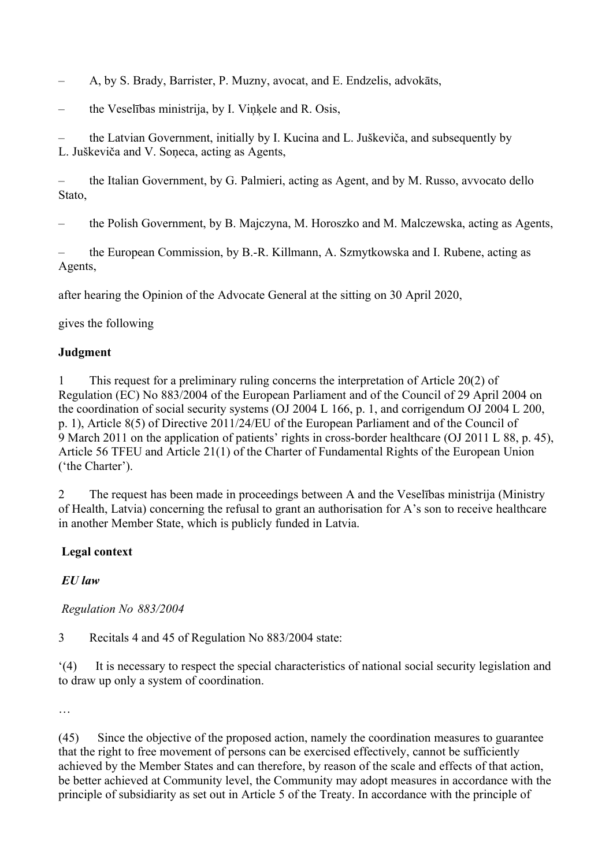- A, by S. Brady, Barrister, P. Muzny, avocat, and E. Endzelis, advokāts,
- the Veselības ministrija, by I. Viņķele and R. Osis,

– the Latvian Government, initially by I. Kucina and L. Juškeviča, and subsequently by L. Juškeviča and V. Soņeca, acting as Agents,

– the Italian Government, by G. Palmieri, acting as Agent, and by M. Russo, avvocato dello Stato,

– the Polish Government, by B. Majczyna, M. Horoszko and M. Malczewska, acting as Agents,

– the European Commission, by B.-R. Killmann, A. Szmytkowska and I. Rubene, acting as Agents,

after hearing the Opinion of the Advocate General at the sitting on 30 April 2020,

gives the following

#### **Judgment**

1 This request for a preliminary ruling concerns the interpretation of Article 20(2) of Regulation (EC) No 883/2004 of the European Parliament and of the Council of 29 April 2004 on the coordination of social security systems (OJ 2004 L 166, p. 1, and corrigendum OJ 2004 L 200, p. 1), Article 8(5) of Directive 2011/24/EU of the European Parliament and of the Council of 9 March 2011 on the application of patients' rights in cross-border healthcare (OJ 2011 L 88, p. 45), Article 56 TFEU and Article 21(1) of the Charter of Fundamental Rights of the European Union ('the Charter').

2 The request has been made in proceedings between A and the Veselības ministrija (Ministry of Health, Latvia) concerning the refusal to grant an authorisation for A's son to receive healthcare in another Member State, which is publicly funded in Latvia.

### **Legal context**

*EU law*

*Regulation No 883/2004*

3 Recitals 4 and 45 of Regulation No 883/2004 state:

'(4) It is necessary to respect the special characteristics of national social security legislation and to draw up only a system of coordination.

…

(45) Since the objective of the proposed action, namely the coordination measures to guarantee that the right to free movement of persons can be exercised effectively, cannot be sufficiently achieved by the Member States and can therefore, by reason of the scale and effects of that action, be better achieved at Community level, the Community may adopt measures in accordance with the principle of subsidiarity as set out in Article 5 of the Treaty. In accordance with the principle of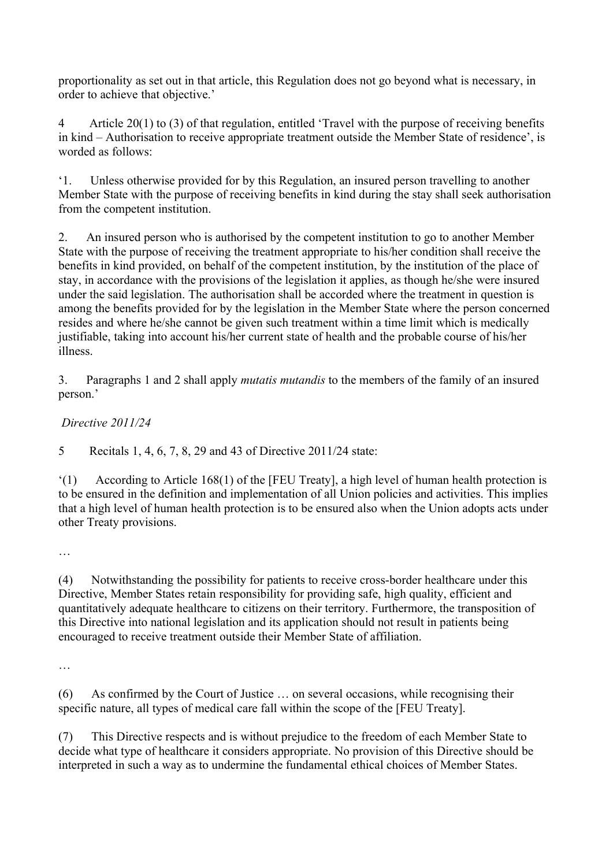proportionality as set out in that article, this Regulation does not go beyond what is necessary, in order to achieve that objective.'

4 Article 20(1) to (3) of that regulation, entitled 'Travel with the purpose of receiving benefits in kind – Authorisation to receive appropriate treatment outside the Member State of residence', is worded as follows:

'1. Unless otherwise provided for by this Regulation, an insured person travelling to another Member State with the purpose of receiving benefits in kind during the stay shall seek authorisation from the competent institution.

2. An insured person who is authorised by the competent institution to go to another Member State with the purpose of receiving the treatment appropriate to his/her condition shall receive the benefits in kind provided, on behalf of the competent institution, by the institution of the place of stay, in accordance with the provisions of the legislation it applies, as though he/she were insured under the said legislation. The authorisation shall be accorded where the treatment in question is among the benefits provided for by the legislation in the Member State where the person concerned resides and where he/she cannot be given such treatment within a time limit which is medically justifiable, taking into account his/her current state of health and the probable course of his/her illness.

3. Paragraphs 1 and 2 shall apply *mutatis mutandis* to the members of the family of an insured person.'

*Directive 2011/24*

5 Recitals 1, 4, 6, 7, 8, 29 and 43 of Directive 2011/24 state:

'(1) According to Article 168(1) of the [FEU Treaty], a high level of human health protection is to be ensured in the definition and implementation of all Union policies and activities. This implies that a high level of human health protection is to be ensured also when the Union adopts acts under other Treaty provisions.

…

(4) Notwithstanding the possibility for patients to receive cross-border healthcare under this Directive, Member States retain responsibility for providing safe, high quality, efficient and quantitatively adequate healthcare to citizens on their territory. Furthermore, the transposition of this Directive into national legislation and its application should not result in patients being encouraged to receive treatment outside their Member State of affiliation.

…

(6) As confirmed by the Court of Justice … on several occasions, while recognising their specific nature, all types of medical care fall within the scope of the [FEU Treaty].

(7) This Directive respects and is without prejudice to the freedom of each Member State to decide what type of healthcare it considers appropriate. No provision of this Directive should be interpreted in such a way as to undermine the fundamental ethical choices of Member States.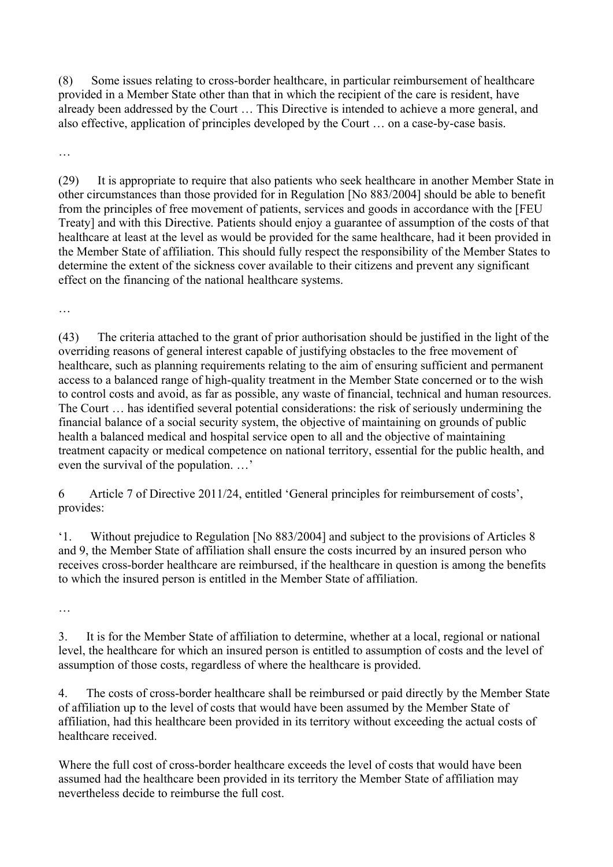(8) Some issues relating to cross-border healthcare, in particular reimbursement of healthcare provided in a Member State other than that in which the recipient of the care is resident, have already been addressed by the Court … This Directive is intended to achieve a more general, and also effective, application of principles developed by the Court … on a case-by-case basis.

…

(29) It is appropriate to require that also patients who seek healthcare in another Member State in other circumstances than those provided for in Regulation [No 883/2004] should be able to benefit from the principles of free movement of patients, services and goods in accordance with the [FEU Treaty] and with this Directive. Patients should enjoy a guarantee of assumption of the costs of that healthcare at least at the level as would be provided for the same healthcare, had it been provided in the Member State of affiliation. This should fully respect the responsibility of the Member States to determine the extent of the sickness cover available to their citizens and prevent any significant effect on the financing of the national healthcare systems.

…

(43) The criteria attached to the grant of prior authorisation should be justified in the light of the overriding reasons of general interest capable of justifying obstacles to the free movement of healthcare, such as planning requirements relating to the aim of ensuring sufficient and permanent access to a balanced range of high-quality treatment in the Member State concerned or to the wish to control costs and avoid, as far as possible, any waste of financial, technical and human resources. The Court … has identified several potential considerations: the risk of seriously undermining the financial balance of a social security system, the objective of maintaining on grounds of public health a balanced medical and hospital service open to all and the objective of maintaining treatment capacity or medical competence on national territory, essential for the public health, and even the survival of the population. …'

6 Article 7 of Directive 2011/24, entitled 'General principles for reimbursement of costs', provides:

'1. Without prejudice to Regulation [No 883/2004] and subject to the provisions of Articles 8 and 9, the Member State of affiliation shall ensure the costs incurred by an insured person who receives cross-border healthcare are reimbursed, if the healthcare in question is among the benefits to which the insured person is entitled in the Member State of affiliation.

…

3. It is for the Member State of affiliation to determine, whether at a local, regional or national level, the healthcare for which an insured person is entitled to assumption of costs and the level of assumption of those costs, regardless of where the healthcare is provided.

4. The costs of cross-border healthcare shall be reimbursed or paid directly by the Member State of affiliation up to the level of costs that would have been assumed by the Member State of affiliation, had this healthcare been provided in its territory without exceeding the actual costs of healthcare received.

Where the full cost of cross-border healthcare exceeds the level of costs that would have been assumed had the healthcare been provided in its territory the Member State of affiliation may nevertheless decide to reimburse the full cost.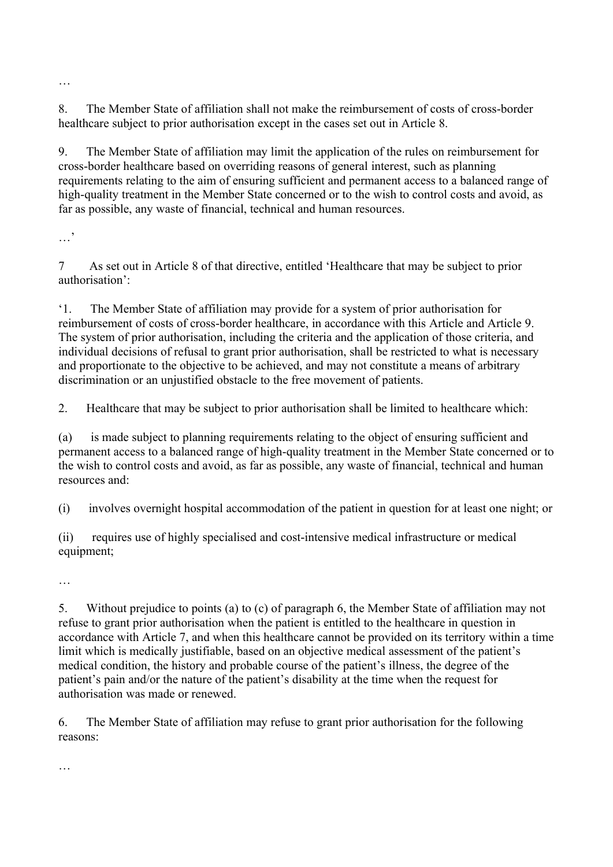8. The Member State of affiliation shall not make the reimbursement of costs of cross-border healthcare subject to prior authorisation except in the cases set out in Article 8.

9. The Member State of affiliation may limit the application of the rules on reimbursement for cross-border healthcare based on overriding reasons of general interest, such as planning requirements relating to the aim of ensuring sufficient and permanent access to a balanced range of high-quality treatment in the Member State concerned or to the wish to control costs and avoid, as far as possible, any waste of financial, technical and human resources.

…'

7 As set out in Article 8 of that directive, entitled 'Healthcare that may be subject to prior authorisation':

'1. The Member State of affiliation may provide for a system of prior authorisation for reimbursement of costs of cross-border healthcare, in accordance with this Article and Article 9. The system of prior authorisation, including the criteria and the application of those criteria, and individual decisions of refusal to grant prior authorisation, shall be restricted to what is necessary and proportionate to the objective to be achieved, and may not constitute a means of arbitrary discrimination or an unjustified obstacle to the free movement of patients.

2. Healthcare that may be subject to prior authorisation shall be limited to healthcare which:

(a) is made subject to planning requirements relating to the object of ensuring sufficient and permanent access to a balanced range of high-quality treatment in the Member State concerned or to the wish to control costs and avoid, as far as possible, any waste of financial, technical and human resources and:

(i) involves overnight hospital accommodation of the patient in question for at least one night; or

(ii) requires use of highly specialised and cost-intensive medical infrastructure or medical equipment;

…

…

5. Without prejudice to points (a) to (c) of paragraph 6, the Member State of affiliation may not refuse to grant prior authorisation when the patient is entitled to the healthcare in question in accordance with Article 7, and when this healthcare cannot be provided on its territory within a time limit which is medically justifiable, based on an objective medical assessment of the patient's medical condition, the history and probable course of the patient's illness, the degree of the patient's pain and/or the nature of the patient's disability at the time when the request for authorisation was made or renewed.

6. The Member State of affiliation may refuse to grant prior authorisation for the following reasons:

…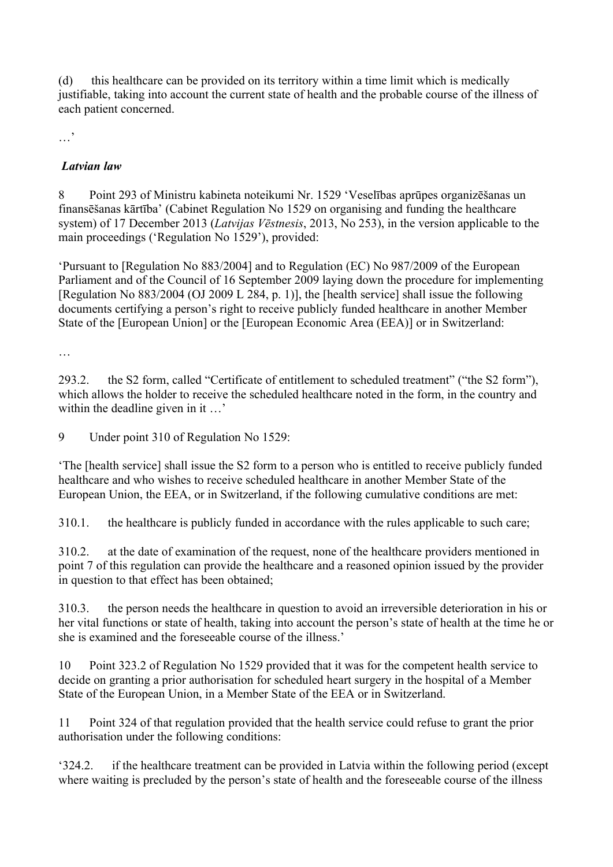(d) this healthcare can be provided on its territory within a time limit which is medically justifiable, taking into account the current state of health and the probable course of the illness of each patient concerned.

…'

#### *Latvian law*

8 Point 293 of Ministru kabineta noteikumi Nr. 1529 'Veselības aprūpes organizēšanas un finansēšanas kārtība' (Cabinet Regulation No 1529 on organising and funding the healthcare system) of 17 December 2013 (*Latvijas Vēstnesis*, 2013, No 253), in the version applicable to the main proceedings ('Regulation No 1529'), provided:

'Pursuant to [Regulation No 883/2004] and to Regulation (EC) No 987/2009 of the European Parliament and of the Council of 16 September 2009 laying down the procedure for implementing [Regulation No 883/2004 (OJ 2009 L 284, p. 1)], the [health service] shall issue the following documents certifying a person's right to receive publicly funded healthcare in another Member State of the [European Union] or the [European Economic Area (EEA)] or in Switzerland:

…

293.2. the S2 form, called "Certificate of entitlement to scheduled treatment" ("the S2 form"), which allows the holder to receive the scheduled healthcare noted in the form, in the country and within the deadline given in it ...'

9 Under point 310 of Regulation No 1529:

'The [health service] shall issue the S2 form to a person who is entitled to receive publicly funded healthcare and who wishes to receive scheduled healthcare in another Member State of the European Union, the EEA, or in Switzerland, if the following cumulative conditions are met:

310.1. the healthcare is publicly funded in accordance with the rules applicable to such care;

310.2. at the date of examination of the request, none of the healthcare providers mentioned in point 7 of this regulation can provide the healthcare and a reasoned opinion issued by the provider in question to that effect has been obtained;

310.3. the person needs the healthcare in question to avoid an irreversible deterioration in his or her vital functions or state of health, taking into account the person's state of health at the time he or she is examined and the foreseeable course of the illness.'

10 Point 323.2 of Regulation No 1529 provided that it was for the competent health service to decide on granting a prior authorisation for scheduled heart surgery in the hospital of a Member State of the European Union, in a Member State of the EEA or in Switzerland.

11 Point 324 of that regulation provided that the health service could refuse to grant the prior authorisation under the following conditions:

'324.2. if the healthcare treatment can be provided in Latvia within the following period (except where waiting is precluded by the person's state of health and the foreseeable course of the illness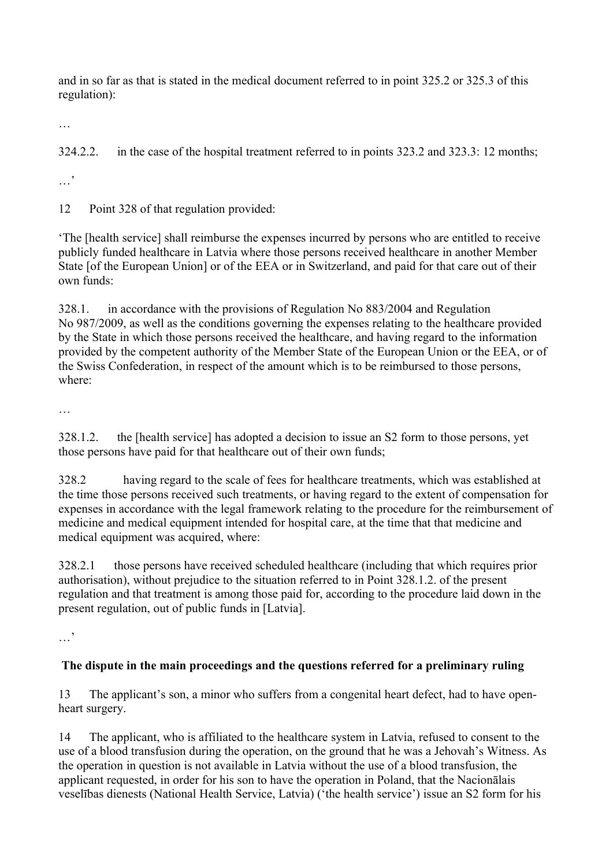and in so far as that is stated in the medical document referred to in point 325.2 or 325.3 of this regulation):

…

324.2.2. in the case of the hospital treatment referred to in points 323.2 and 323.3: 12 months;

…'

12 Point 328 of that regulation provided:

'The [health service] shall reimburse the expenses incurred by persons who are entitled to receive publicly funded healthcare in Latvia where those persons received healthcare in another Member State [of the European Union] or of the EEA or in Switzerland, and paid for that care out of their own funds:

328.1. in accordance with the provisions of Regulation No 883/2004 and Regulation No 987/2009, as well as the conditions governing the expenses relating to the healthcare provided by the State in which those persons received the healthcare, and having regard to the information provided by the competent authority of the Member State of the European Union or the EEA, or of the Swiss Confederation, in respect of the amount which is to be reimbursed to those persons, where:

…

328.1.2. the [health service] has adopted a decision to issue an S2 form to those persons, yet those persons have paid for that healthcare out of their own funds;

328.2 having regard to the scale of fees for healthcare treatments, which was established at the time those persons received such treatments, or having regard to the extent of compensation for expenses in accordance with the legal framework relating to the procedure for the reimbursement of medicine and medical equipment intended for hospital care, at the time that that medicine and medical equipment was acquired, where:

328.2.1 those persons have received scheduled healthcare (including that which requires prior authorisation), without prejudice to the situation referred to in Point 328.1.2. of the present regulation and that treatment is among those paid for, according to the procedure laid down in the present regulation, out of public funds in [Latvia].

…,

### **The dispute in the main proceedings and the questions referred for a preliminary ruling**

13 The applicant's son, a minor who suffers from a congenital heart defect, had to have openheart surgery.

14 The applicant, who is affiliated to the healthcare system in Latvia, refused to consent to the use of a blood transfusion during the operation, on the ground that he was a Jehovah's Witness. As the operation in question is not available in Latvia without the use of a blood transfusion, the applicant requested, in order for his son to have the operation in Poland, that the Nacionālais veselības dienests (National Health Service, Latvia) ('the health service') issue an S2 form for his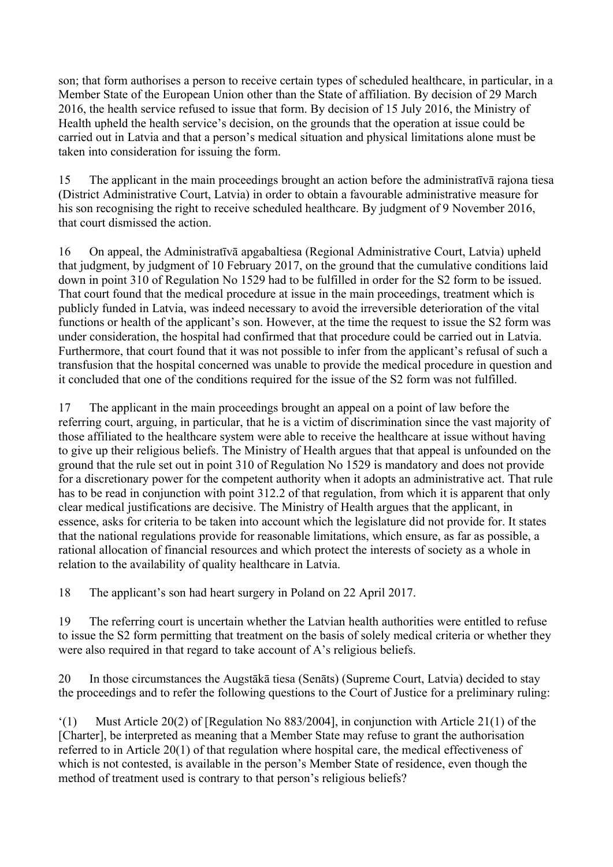son; that form authorises a person to receive certain types of scheduled healthcare, in particular, in a Member State of the European Union other than the State of affiliation. By decision of 29 March 2016, the health service refused to issue that form. By decision of 15 July 2016, the Ministry of Health upheld the health service's decision, on the grounds that the operation at issue could be carried out in Latvia and that a person's medical situation and physical limitations alone must be taken into consideration for issuing the form.

15 The applicant in the main proceedings brought an action before the administratīvā rajona tiesa (District Administrative Court, Latvia) in order to obtain a favourable administrative measure for his son recognising the right to receive scheduled healthcare. By judgment of 9 November 2016, that court dismissed the action.

16 On appeal, the Administratīvā apgabaltiesa (Regional Administrative Court, Latvia) upheld that judgment, by judgment of 10 February 2017, on the ground that the cumulative conditions laid down in point 310 of Regulation No 1529 had to be fulfilled in order for the S2 form to be issued. That court found that the medical procedure at issue in the main proceedings, treatment which is publicly funded in Latvia, was indeed necessary to avoid the irreversible deterioration of the vital functions or health of the applicant's son. However, at the time the request to issue the S2 form was under consideration, the hospital had confirmed that that procedure could be carried out in Latvia. Furthermore, that court found that it was not possible to infer from the applicant's refusal of such a transfusion that the hospital concerned was unable to provide the medical procedure in question and it concluded that one of the conditions required for the issue of the S2 form was not fulfilled.

17 The applicant in the main proceedings brought an appeal on a point of law before the referring court, arguing, in particular, that he is a victim of discrimination since the vast majority of those affiliated to the healthcare system were able to receive the healthcare at issue without having to give up their religious beliefs. The Ministry of Health argues that that appeal is unfounded on the ground that the rule set out in point 310 of Regulation No 1529 is mandatory and does not provide for a discretionary power for the competent authority when it adopts an administrative act. That rule has to be read in conjunction with point 312.2 of that regulation, from which it is apparent that only clear medical justifications are decisive. The Ministry of Health argues that the applicant, in essence, asks for criteria to be taken into account which the legislature did not provide for. It states that the national regulations provide for reasonable limitations, which ensure, as far as possible, a rational allocation of financial resources and which protect the interests of society as a whole in relation to the availability of quality healthcare in Latvia.

18 The applicant's son had heart surgery in Poland on 22 April 2017.

19 The referring court is uncertain whether the Latvian health authorities were entitled to refuse to issue the S2 form permitting that treatment on the basis of solely medical criteria or whether they were also required in that regard to take account of A's religious beliefs.

20 In those circumstances the Augstākā tiesa (Senāts) (Supreme Court, Latvia) decided to stay the proceedings and to refer the following questions to the Court of Justice for a preliminary ruling:

'(1) Must Article 20(2) of [Regulation No 883/2004], in conjunction with Article 21(1) of the [Charter], be interpreted as meaning that a Member State may refuse to grant the authorisation referred to in Article 20(1) of that regulation where hospital care, the medical effectiveness of which is not contested, is available in the person's Member State of residence, even though the method of treatment used is contrary to that person's religious beliefs?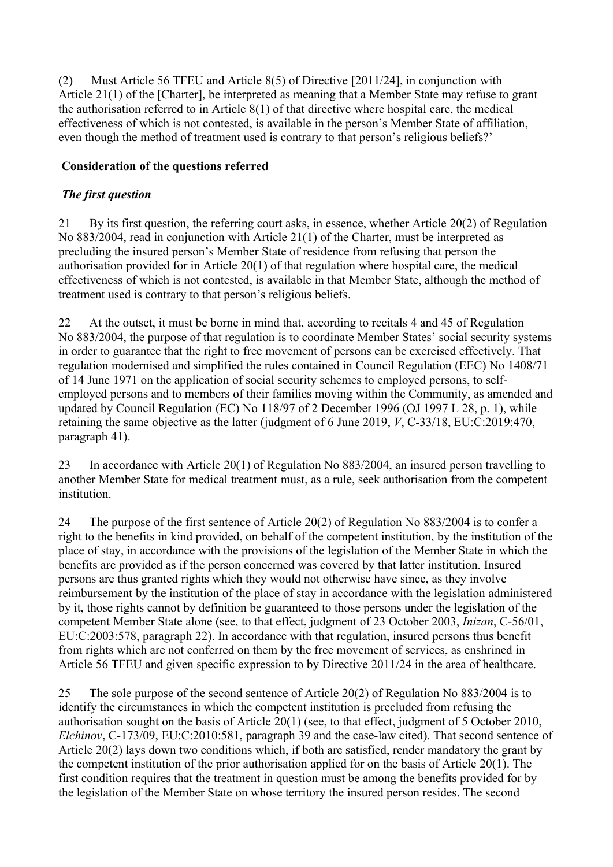(2) Must Article 56 TFEU and Article 8(5) of Directive [2011/24], in conjunction with Article 21(1) of the [Charter], be interpreted as meaning that a Member State may refuse to grant the authorisation referred to in Article 8(1) of that directive where hospital care, the medical effectiveness of which is not contested, is available in the person's Member State of affiliation, even though the method of treatment used is contrary to that person's religious beliefs?'

#### **Consideration of the questions referred**

#### *The first question*

21 By its first question, the referring court asks, in essence, whether Article 20(2) of Regulation No 883/2004, read in conjunction with Article 21(1) of the Charter, must be interpreted as precluding the insured person's Member State of residence from refusing that person the authorisation provided for in Article 20(1) of that regulation where hospital care, the medical effectiveness of which is not contested, is available in that Member State, although the method of treatment used is contrary to that person's religious beliefs.

22 At the outset, it must be borne in mind that, according to recitals 4 and 45 of Regulation No 883/2004, the purpose of that regulation is to coordinate Member States' social security systems in order to guarantee that the right to free movement of persons can be exercised effectively. That regulation modernised and simplified the rules contained in Council Regulation (EEC) No 1408/71 of 14 June 1971 on the application of social security schemes to employed persons, to selfemployed persons and to members of their families moving within the Community, as amended and updated by Council Regulation (EC) No 118/97 of 2 December 1996 (OJ 1997 L 28, p. 1), while retaining the same objective as the latter (judgment of 6 June 2019, *V*, C-33/18, EU:C:2019:470, paragraph 41).

23 In accordance with Article 20(1) of Regulation No 883/2004, an insured person travelling to another Member State for medical treatment must, as a rule, seek authorisation from the competent institution.

24 The purpose of the first sentence of Article 20(2) of Regulation No 883/2004 is to confer a right to the benefits in kind provided, on behalf of the competent institution, by the institution of the place of stay, in accordance with the provisions of the legislation of the Member State in which the benefits are provided as if the person concerned was covered by that latter institution. Insured persons are thus granted rights which they would not otherwise have since, as they involve reimbursement by the institution of the place of stay in accordance with the legislation administered by it, those rights cannot by definition be guaranteed to those persons under the legislation of the competent Member State alone (see, to that effect, judgment of 23 October 2003, *Inizan*, C-56/01, EU:C:2003:578, paragraph 22). In accordance with that regulation, insured persons thus benefit from rights which are not conferred on them by the free movement of services, as enshrined in Article 56 TFEU and given specific expression to by Directive 2011/24 in the area of healthcare.

25 The sole purpose of the second sentence of Article 20(2) of Regulation No 883/2004 is to identify the circumstances in which the competent institution is precluded from refusing the authorisation sought on the basis of Article 20(1) (see, to that effect, judgment of 5 October 2010, *Elchinov*, C-173/09, EU:C:2010:581, paragraph 39 and the case-law cited). That second sentence of Article 20(2) lays down two conditions which, if both are satisfied, render mandatory the grant by the competent institution of the prior authorisation applied for on the basis of Article 20(1). The first condition requires that the treatment in question must be among the benefits provided for by the legislation of the Member State on whose territory the insured person resides. The second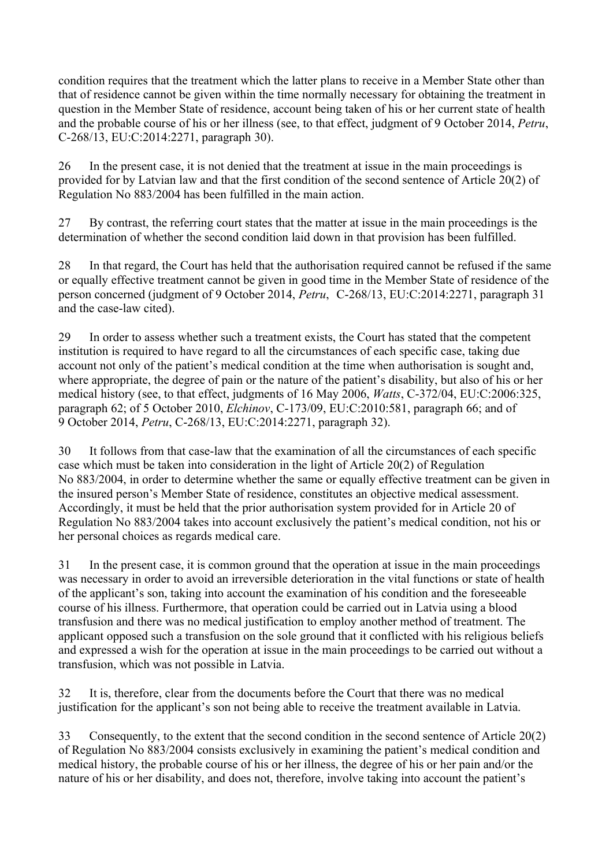condition requires that the treatment which the latter plans to receive in a Member State other than that of residence cannot be given within the time normally necessary for obtaining the treatment in question in the Member State of residence, account being taken of his or her current state of health and the probable course of his or her illness (see, to that effect, judgment of 9 October 2014, *Petru*, C-268/13, EU:C:2014:2271, paragraph 30).

26 In the present case, it is not denied that the treatment at issue in the main proceedings is provided for by Latvian law and that the first condition of the second sentence of Article 20(2) of Regulation No 883/2004 has been fulfilled in the main action.

27 By contrast, the referring court states that the matter at issue in the main proceedings is the determination of whether the second condition laid down in that provision has been fulfilled.

28 In that regard, the Court has held that the authorisation required cannot be refused if the same or equally effective treatment cannot be given in good time in the Member State of residence of the person concerned (judgment of 9 October 2014, *Petru*, C-268/13, EU:C:2014:2271, paragraph 31 and the case-law cited).

29 In order to assess whether such a treatment exists, the Court has stated that the competent institution is required to have regard to all the circumstances of each specific case, taking due account not only of the patient's medical condition at the time when authorisation is sought and, where appropriate, the degree of pain or the nature of the patient's disability, but also of his or her medical history (see, to that effect, judgments of 16 May 2006, *Watts*, C-372/04, EU:C:2006:325, paragraph 62; of 5 October 2010, *Elchinov*, C-173/09, EU:C:2010:581, paragraph 66; and of 9 October 2014, *Petru*, C-268/13, EU:C:2014:2271, paragraph 32).

30 It follows from that case-law that the examination of all the circumstances of each specific case which must be taken into consideration in the light of Article 20(2) of Regulation No 883/2004, in order to determine whether the same or equally effective treatment can be given in the insured person's Member State of residence, constitutes an objective medical assessment. Accordingly, it must be held that the prior authorisation system provided for in Article 20 of Regulation No 883/2004 takes into account exclusively the patient's medical condition, not his or her personal choices as regards medical care.

31 In the present case, it is common ground that the operation at issue in the main proceedings was necessary in order to avoid an irreversible deterioration in the vital functions or state of health of the applicant's son, taking into account the examination of his condition and the foreseeable course of his illness. Furthermore, that operation could be carried out in Latvia using a blood transfusion and there was no medical justification to employ another method of treatment. The applicant opposed such a transfusion on the sole ground that it conflicted with his religious beliefs and expressed a wish for the operation at issue in the main proceedings to be carried out without a transfusion, which was not possible in Latvia.

32 It is, therefore, clear from the documents before the Court that there was no medical justification for the applicant's son not being able to receive the treatment available in Latvia.

33 Consequently, to the extent that the second condition in the second sentence of Article 20(2) of Regulation No 883/2004 consists exclusively in examining the patient's medical condition and medical history, the probable course of his or her illness, the degree of his or her pain and/or the nature of his or her disability, and does not, therefore, involve taking into account the patient's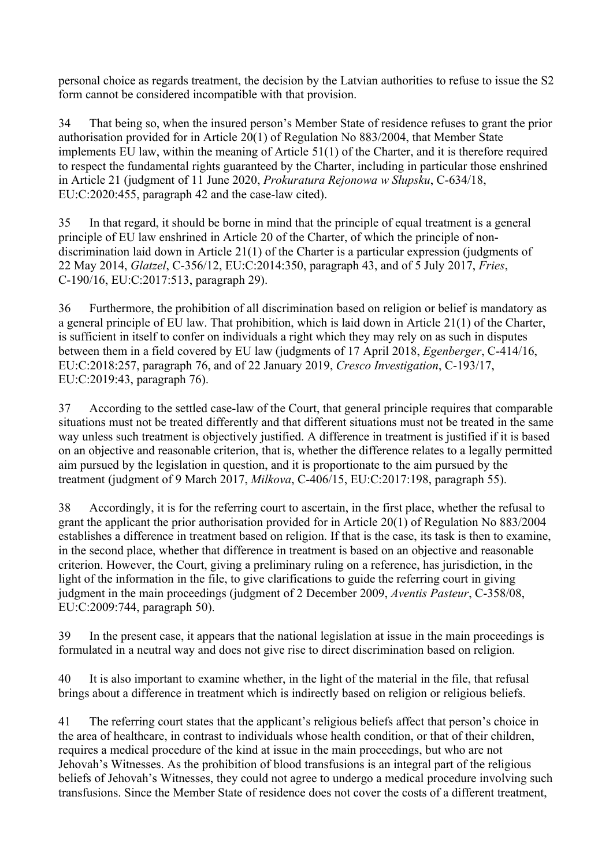personal choice as regards treatment, the decision by the Latvian authorities to refuse to issue the S2 form cannot be considered incompatible with that provision.

34 That being so, when the insured person's Member State of residence refuses to grant the prior authorisation provided for in Article 20(1) of Regulation No 883/2004, that Member State implements EU law, within the meaning of Article 51(1) of the Charter, and it is therefore required to respect the fundamental rights guaranteed by the Charter, including in particular those enshrined in Article 21 (judgment of 11 June 2020, *Prokuratura Rejonowa w Słupsku*, C-634/18, EU:C:2020:455, paragraph 42 and the case-law cited).

35 In that regard, it should be borne in mind that the principle of equal treatment is a general principle of EU law enshrined in Article 20 of the Charter, of which the principle of nondiscrimination laid down in Article 21(1) of the Charter is a particular expression (judgments of 22 May 2014, *Glatzel*, C-356/12, EU:C:2014:350, paragraph 43, and of 5 July 2017, *Fries*, C-190/16, EU:C:2017:513, paragraph 29).

36 Furthermore, the prohibition of all discrimination based on religion or belief is mandatory as a general principle of EU law. That prohibition, which is laid down in Article 21(1) of the Charter, is sufficient in itself to confer on individuals a right which they may rely on as such in disputes between them in a field covered by EU law (judgments of 17 April 2018, *Egenberger*, C-414/16, EU:C:2018:257, paragraph 76, and of 22 January 2019, *Cresco Investigation*, C-193/17, EU:C:2019:43, paragraph 76).

37 According to the settled case-law of the Court, that general principle requires that comparable situations must not be treated differently and that different situations must not be treated in the same way unless such treatment is objectively justified. A difference in treatment is justified if it is based on an objective and reasonable criterion, that is, whether the difference relates to a legally permitted aim pursued by the legislation in question, and it is proportionate to the aim pursued by the treatment (judgment of 9 March 2017, *Milkova*, C-406/15, EU:C:2017:198, paragraph 55).

38 Accordingly, it is for the referring court to ascertain, in the first place, whether the refusal to grant the applicant the prior authorisation provided for in Article 20(1) of Regulation No 883/2004 establishes a difference in treatment based on religion. If that is the case, its task is then to examine, in the second place, whether that difference in treatment is based on an objective and reasonable criterion. However, the Court, giving a preliminary ruling on a reference, has jurisdiction, in the light of the information in the file, to give clarifications to guide the referring court in giving judgment in the main proceedings (judgment of 2 December 2009, *Aventis Pasteur*, C-358/08, EU:C:2009:744, paragraph 50).

39 In the present case, it appears that the national legislation at issue in the main proceedings is formulated in a neutral way and does not give rise to direct discrimination based on religion.

40 It is also important to examine whether, in the light of the material in the file, that refusal brings about a difference in treatment which is indirectly based on religion or religious beliefs.

41 The referring court states that the applicant's religious beliefs affect that person's choice in the area of healthcare, in contrast to individuals whose health condition, or that of their children, requires a medical procedure of the kind at issue in the main proceedings, but who are not Jehovah's Witnesses. As the prohibition of blood transfusions is an integral part of the religious beliefs of Jehovah's Witnesses, they could not agree to undergo a medical procedure involving such transfusions. Since the Member State of residence does not cover the costs of a different treatment,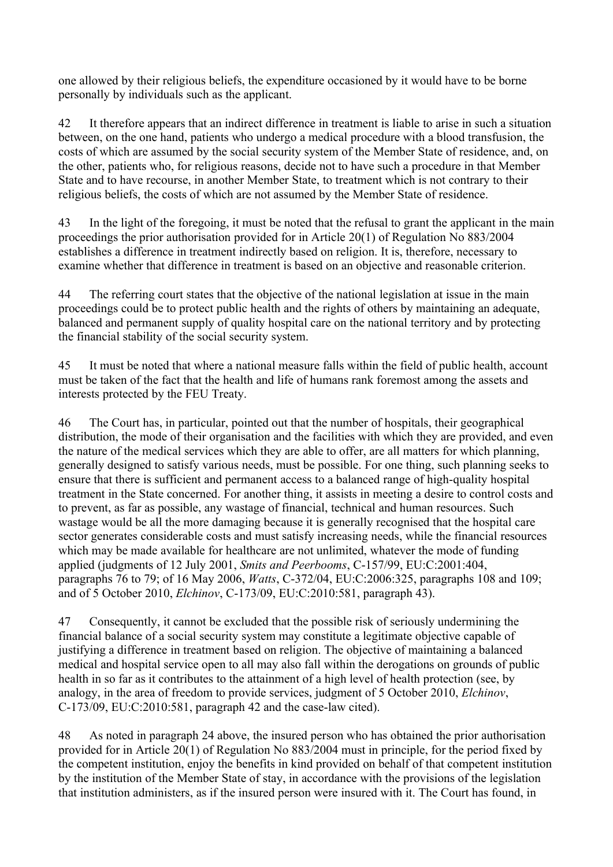one allowed by their religious beliefs, the expenditure occasioned by it would have to be borne personally by individuals such as the applicant.

42 It therefore appears that an indirect difference in treatment is liable to arise in such a situation between, on the one hand, patients who undergo a medical procedure with a blood transfusion, the costs of which are assumed by the social security system of the Member State of residence, and, on the other, patients who, for religious reasons, decide not to have such a procedure in that Member State and to have recourse, in another Member State, to treatment which is not contrary to their religious beliefs, the costs of which are not assumed by the Member State of residence.

43 In the light of the foregoing, it must be noted that the refusal to grant the applicant in the main proceedings the prior authorisation provided for in Article 20(1) of Regulation No 883/2004 establishes a difference in treatment indirectly based on religion. It is, therefore, necessary to examine whether that difference in treatment is based on an objective and reasonable criterion.

44 The referring court states that the objective of the national legislation at issue in the main proceedings could be to protect public health and the rights of others by maintaining an adequate, balanced and permanent supply of quality hospital care on the national territory and by protecting the financial stability of the social security system.

45 It must be noted that where a national measure falls within the field of public health, account must be taken of the fact that the health and life of humans rank foremost among the assets and interests protected by the FEU Treaty.

46 The Court has, in particular, pointed out that the number of hospitals, their geographical distribution, the mode of their organisation and the facilities with which they are provided, and even the nature of the medical services which they are able to offer, are all matters for which planning, generally designed to satisfy various needs, must be possible. For one thing, such planning seeks to ensure that there is sufficient and permanent access to a balanced range of high-quality hospital treatment in the State concerned. For another thing, it assists in meeting a desire to control costs and to prevent, as far as possible, any wastage of financial, technical and human resources. Such wastage would be all the more damaging because it is generally recognised that the hospital care sector generates considerable costs and must satisfy increasing needs, while the financial resources which may be made available for healthcare are not unlimited, whatever the mode of funding applied (judgments of 12 July 2001, *Smits and Peerbooms*, C-157/99, EU:C:2001:404, paragraphs 76 to 79; of 16 May 2006, *Watts*, C-372/04, EU:C:2006:325, paragraphs 108 and 109; and of 5 October 2010, *Elchinov*, C-173/09, EU:C:2010:581, paragraph 43).

47 Consequently, it cannot be excluded that the possible risk of seriously undermining the financial balance of a social security system may constitute a legitimate objective capable of justifying a difference in treatment based on religion. The objective of maintaining a balanced medical and hospital service open to all may also fall within the derogations on grounds of public health in so far as it contributes to the attainment of a high level of health protection (see, by analogy, in the area of freedom to provide services, judgment of 5 October 2010, *Elchinov*, C-173/09, EU:C:2010:581, paragraph 42 and the case-law cited).

48 As noted in paragraph 24 above, the insured person who has obtained the prior authorisation provided for in Article 20(1) of Regulation No 883/2004 must in principle, for the period fixed by the competent institution, enjoy the benefits in kind provided on behalf of that competent institution by the institution of the Member State of stay, in accordance with the provisions of the legislation that institution administers, as if the insured person were insured with it. The Court has found, in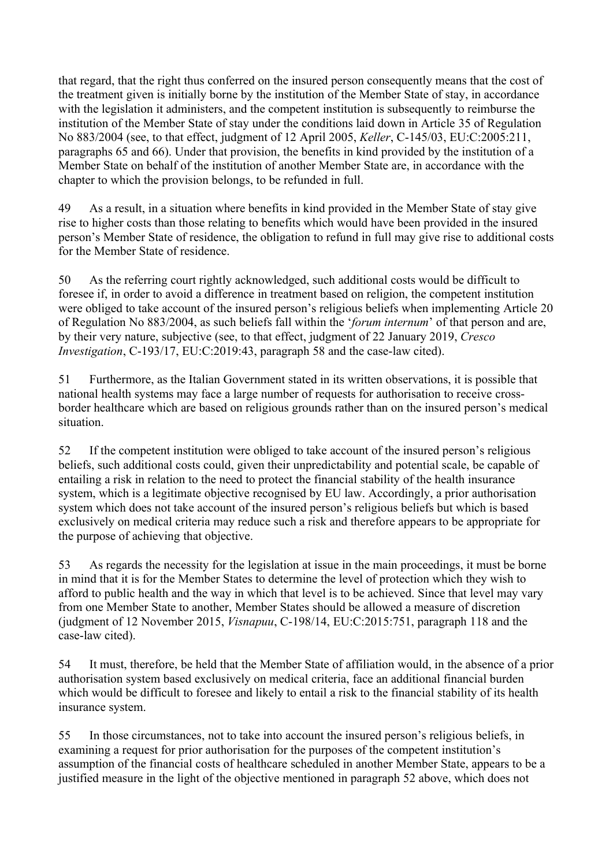that regard, that the right thus conferred on the insured person consequently means that the cost of the treatment given is initially borne by the institution of the Member State of stay, in accordance with the legislation it administers, and the competent institution is subsequently to reimburse the institution of the Member State of stay under the conditions laid down in Article 35 of Regulation No 883/2004 (see, to that effect, judgment of 12 April 2005, *Keller*, C-145/03, EU:C:2005:211, paragraphs 65 and 66). Under that provision, the benefits in kind provided by the institution of a Member State on behalf of the institution of another Member State are, in accordance with the chapter to which the provision belongs, to be refunded in full.

49 As a result, in a situation where benefits in kind provided in the Member State of stay give rise to higher costs than those relating to benefits which would have been provided in the insured person's Member State of residence, the obligation to refund in full may give rise to additional costs for the Member State of residence.

50 As the referring court rightly acknowledged, such additional costs would be difficult to foresee if, in order to avoid a difference in treatment based on religion, the competent institution were obliged to take account of the insured person's religious beliefs when implementing Article 20 of Regulation No 883/2004, as such beliefs fall within the '*forum internum*' of that person and are, by their very nature, subjective (see, to that effect, judgment of 22 January 2019, *Cresco Investigation*, C-193/17, EU:C:2019:43, paragraph 58 and the case-law cited).

51 Furthermore, as the Italian Government stated in its written observations, it is possible that national health systems may face a large number of requests for authorisation to receive crossborder healthcare which are based on religious grounds rather than on the insured person's medical situation.

52 If the competent institution were obliged to take account of the insured person's religious beliefs, such additional costs could, given their unpredictability and potential scale, be capable of entailing a risk in relation to the need to protect the financial stability of the health insurance system, which is a legitimate objective recognised by EU law. Accordingly, a prior authorisation system which does not take account of the insured person's religious beliefs but which is based exclusively on medical criteria may reduce such a risk and therefore appears to be appropriate for the purpose of achieving that objective.

53 As regards the necessity for the legislation at issue in the main proceedings, it must be borne in mind that it is for the Member States to determine the level of protection which they wish to afford to public health and the way in which that level is to be achieved. Since that level may vary from one Member State to another, Member States should be allowed a measure of discretion (judgment of 12 November 2015, *Visnapuu*, C-198/14, EU:C:2015:751, paragraph 118 and the case-law cited).

54 It must, therefore, be held that the Member State of affiliation would, in the absence of a prior authorisation system based exclusively on medical criteria, face an additional financial burden which would be difficult to foresee and likely to entail a risk to the financial stability of its health insurance system.

55 In those circumstances, not to take into account the insured person's religious beliefs, in examining a request for prior authorisation for the purposes of the competent institution's assumption of the financial costs of healthcare scheduled in another Member State, appears to be a justified measure in the light of the objective mentioned in paragraph 52 above, which does not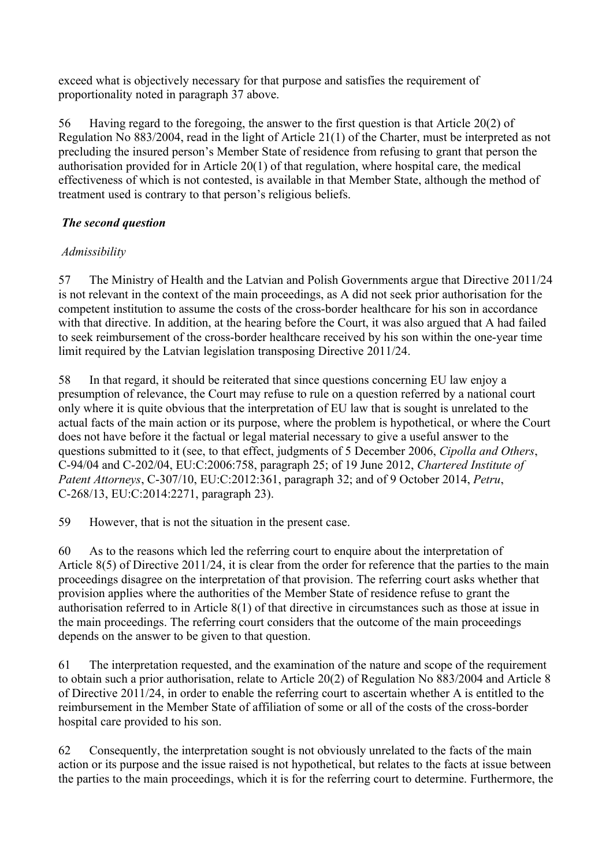exceed what is objectively necessary for that purpose and satisfies the requirement of proportionality noted in paragraph 37 above.

56 Having regard to the foregoing, the answer to the first question is that Article 20(2) of Regulation No 883/2004, read in the light of Article 21(1) of the Charter, must be interpreted as not precluding the insured person's Member State of residence from refusing to grant that person the authorisation provided for in Article 20(1) of that regulation, where hospital care, the medical effectiveness of which is not contested, is available in that Member State, although the method of treatment used is contrary to that person's religious beliefs.

### *The second question*

## *Admissibility*

57 The Ministry of Health and the Latvian and Polish Governments argue that Directive 2011/24 is not relevant in the context of the main proceedings, as A did not seek prior authorisation for the competent institution to assume the costs of the cross-border healthcare for his son in accordance with that directive. In addition, at the hearing before the Court, it was also argued that A had failed to seek reimbursement of the cross-border healthcare received by his son within the one-year time limit required by the Latvian legislation transposing Directive 2011/24.

58 In that regard, it should be reiterated that since questions concerning EU law enjoy a presumption of relevance, the Court may refuse to rule on a question referred by a national court only where it is quite obvious that the interpretation of EU law that is sought is unrelated to the actual facts of the main action or its purpose, where the problem is hypothetical, or where the Court does not have before it the factual or legal material necessary to give a useful answer to the questions submitted to it (see, to that effect, judgments of 5 December 2006, *Cipolla and Others*, C-94/04 and C-202/04, EU:C:2006:758, paragraph 25; of 19 June 2012, *Chartered Institute of Patent Attorneys*, C-307/10, EU:C:2012:361, paragraph 32; and of 9 October 2014, *Petru*, C-268/13, EU:C:2014:2271, paragraph 23).

59 However, that is not the situation in the present case.

60 As to the reasons which led the referring court to enquire about the interpretation of Article 8(5) of Directive 2011/24, it is clear from the order for reference that the parties to the main proceedings disagree on the interpretation of that provision. The referring court asks whether that provision applies where the authorities of the Member State of residence refuse to grant the authorisation referred to in Article 8(1) of that directive in circumstances such as those at issue in the main proceedings. The referring court considers that the outcome of the main proceedings depends on the answer to be given to that question.

61 The interpretation requested, and the examination of the nature and scope of the requirement to obtain such a prior authorisation, relate to Article 20(2) of Regulation No 883/2004 and Article 8 of Directive 2011/24, in order to enable the referring court to ascertain whether A is entitled to the reimbursement in the Member State of affiliation of some or all of the costs of the cross-border hospital care provided to his son.

62 Consequently, the interpretation sought is not obviously unrelated to the facts of the main action or its purpose and the issue raised is not hypothetical, but relates to the facts at issue between the parties to the main proceedings, which it is for the referring court to determine. Furthermore, the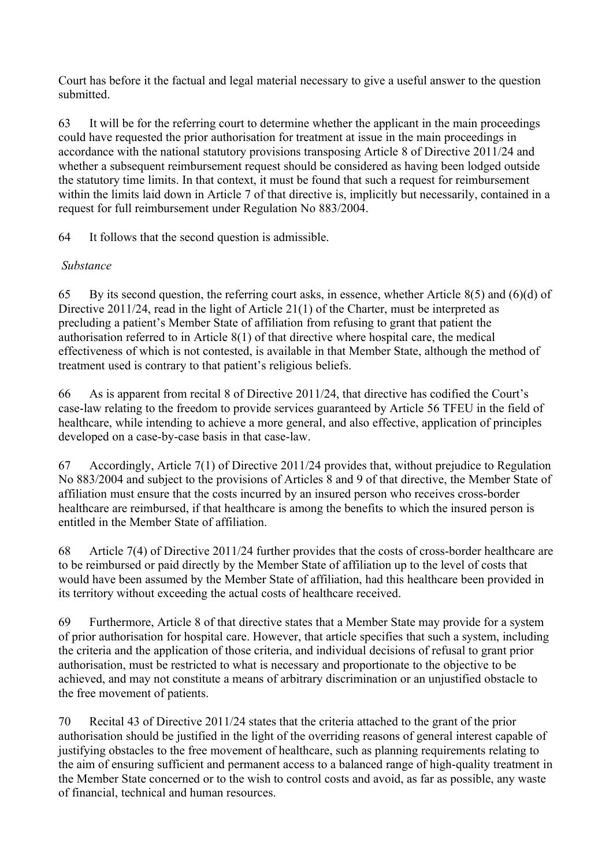Court has before it the factual and legal material necessary to give a useful answer to the question submitted.

63 It will be for the referring court to determine whether the applicant in the main proceedings could have requested the prior authorisation for treatment at issue in the main proceedings in accordance with the national statutory provisions transposing Article 8 of Directive 2011/24 and whether a subsequent reimbursement request should be considered as having been lodged outside the statutory time limits. In that context, it must be found that such a request for reimbursement within the limits laid down in Article 7 of that directive is, implicitly but necessarily, contained in a request for full reimbursement under Regulation No 883/2004.

64 It follows that the second question is admissible.

#### *Substance*

65 By its second question, the referring court asks, in essence, whether Article 8(5) and (6)(d) of Directive 2011/24, read in the light of Article 21(1) of the Charter, must be interpreted as precluding a patient's Member State of affiliation from refusing to grant that patient the authorisation referred to in Article 8(1) of that directive where hospital care, the medical effectiveness of which is not contested, is available in that Member State, although the method of treatment used is contrary to that patient's religious beliefs.

66 As is apparent from recital 8 of Directive 2011/24, that directive has codified the Court's case-law relating to the freedom to provide services guaranteed by Article 56 TFEU in the field of healthcare, while intending to achieve a more general, and also effective, application of principles developed on a case-by-case basis in that case-law.

67 Accordingly, Article 7(1) of Directive 2011/24 provides that, without prejudice to Regulation No 883/2004 and subject to the provisions of Articles 8 and 9 of that directive, the Member State of affiliation must ensure that the costs incurred by an insured person who receives cross-border healthcare are reimbursed, if that healthcare is among the benefits to which the insured person is entitled in the Member State of affiliation.

68 Article 7(4) of Directive 2011/24 further provides that the costs of cross-border healthcare are to be reimbursed or paid directly by the Member State of affiliation up to the level of costs that would have been assumed by the Member State of affiliation, had this healthcare been provided in its territory without exceeding the actual costs of healthcare received.

69 Furthermore, Article 8 of that directive states that a Member State may provide for a system of prior authorisation for hospital care. However, that article specifies that such a system, including the criteria and the application of those criteria, and individual decisions of refusal to grant prior authorisation, must be restricted to what is necessary and proportionate to the objective to be achieved, and may not constitute a means of arbitrary discrimination or an unjustified obstacle to the free movement of patients.

70 Recital 43 of Directive 2011/24 states that the criteria attached to the grant of the prior authorisation should be justified in the light of the overriding reasons of general interest capable of justifying obstacles to the free movement of healthcare, such as planning requirements relating to the aim of ensuring sufficient and permanent access to a balanced range of high-quality treatment in the Member State concerned or to the wish to control costs and avoid, as far as possible, any waste of financial, technical and human resources.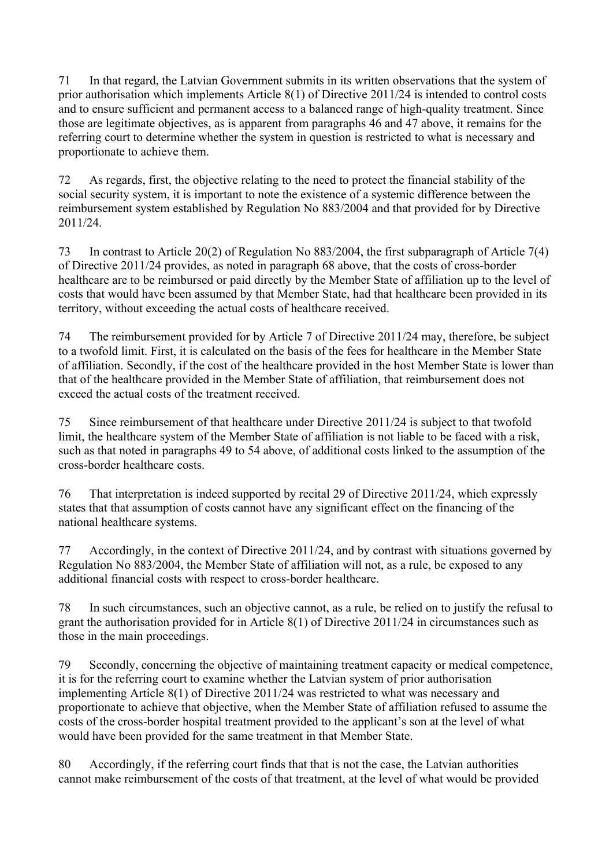71 In that regard, the Latvian Government submits in its written observations that the system of prior authorisation which implements Article 8(1) of Directive 2011/24 is intended to control costs and to ensure sufficient and permanent access to a balanced range of high-quality treatment. Since those are legitimate objectives, as is apparent from paragraphs 46 and 47 above, it remains for the referring court to determine whether the system in question is restricted to what is necessary and proportionate to achieve them.

72 As regards, first, the objective relating to the need to protect the financial stability of the social security system, it is important to note the existence of a systemic difference between the reimbursement system established by Regulation No 883/2004 and that provided for by Directive 2011/24.

73 In contrast to Article 20(2) of Regulation No 883/2004, the first subparagraph of Article 7(4) of Directive 2011/24 provides, as noted in paragraph 68 above, that the costs of cross-border healthcare are to be reimbursed or paid directly by the Member State of affiliation up to the level of costs that would have been assumed by that Member State, had that healthcare been provided in its territory, without exceeding the actual costs of healthcare received.

74 The reimbursement provided for by Article 7 of Directive 2011/24 may, therefore, be subject to a twofold limit. First, it is calculated on the basis of the fees for healthcare in the Member State of affiliation. Secondly, if the cost of the healthcare provided in the host Member State is lower than that of the healthcare provided in the Member State of affiliation, that reimbursement does not exceed the actual costs of the treatment received.

75 Since reimbursement of that healthcare under Directive 2011/24 is subject to that twofold limit, the healthcare system of the Member State of affiliation is not liable to be faced with a risk, such as that noted in paragraphs 49 to 54 above, of additional costs linked to the assumption of the cross-border healthcare costs.

76 That interpretation is indeed supported by recital 29 of Directive 2011/24, which expressly states that that assumption of costs cannot have any significant effect on the financing of the national healthcare systems.

77 Accordingly, in the context of Directive 2011/24, and by contrast with situations governed by Regulation No 883/2004, the Member State of affiliation will not, as a rule, be exposed to any additional financial costs with respect to cross-border healthcare.

78 In such circumstances, such an objective cannot, as a rule, be relied on to justify the refusal to grant the authorisation provided for in Article 8(1) of Directive 2011/24 in circumstances such as those in the main proceedings.

79 Secondly, concerning the objective of maintaining treatment capacity or medical competence, it is for the referring court to examine whether the Latvian system of prior authorisation implementing Article 8(1) of Directive 2011/24 was restricted to what was necessary and proportionate to achieve that objective, when the Member State of affiliation refused to assume the costs of the cross-border hospital treatment provided to the applicant's son at the level of what would have been provided for the same treatment in that Member State.

80 Accordingly, if the referring court finds that that is not the case, the Latvian authorities cannot make reimbursement of the costs of that treatment, at the level of what would be provided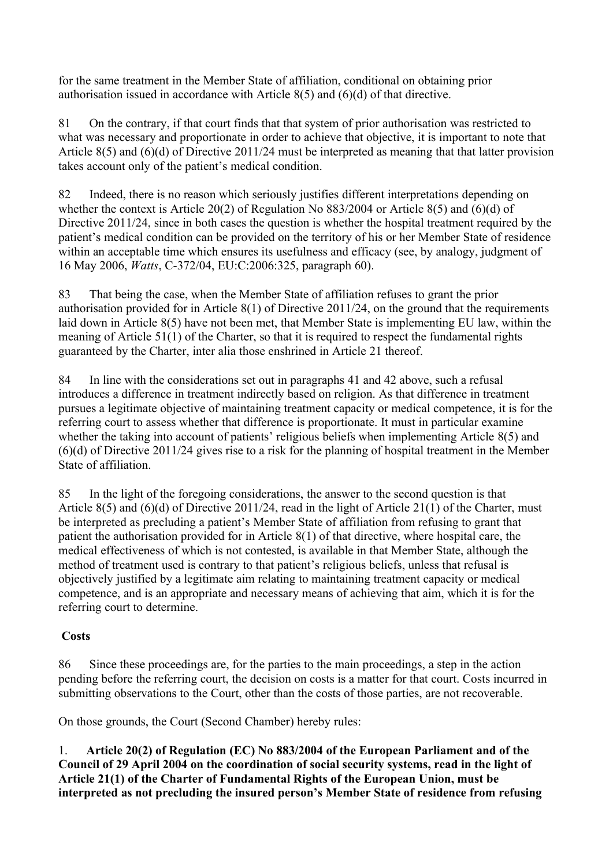for the same treatment in the Member State of affiliation, conditional on obtaining prior authorisation issued in accordance with Article 8(5) and (6)(d) of that directive.

81 On the contrary, if that court finds that that system of prior authorisation was restricted to what was necessary and proportionate in order to achieve that objective, it is important to note that Article 8(5) and (6)(d) of Directive 2011/24 must be interpreted as meaning that that latter provision takes account only of the patient's medical condition.

82 Indeed, there is no reason which seriously justifies different interpretations depending on whether the context is Article 20(2) of Regulation No 883/2004 or Article 8(5) and (6)(d) of Directive 2011/24, since in both cases the question is whether the hospital treatment required by the patient's medical condition can be provided on the territory of his or her Member State of residence within an acceptable time which ensures its usefulness and efficacy (see, by analogy, judgment of 16 May 2006, *Watts*, C-372/04, EU:C:2006:325, paragraph 60).

83 That being the case, when the Member State of affiliation refuses to grant the prior authorisation provided for in Article 8(1) of Directive 2011/24, on the ground that the requirements laid down in Article 8(5) have not been met, that Member State is implementing EU law, within the meaning of Article 51(1) of the Charter, so that it is required to respect the fundamental rights guaranteed by the Charter, inter alia those enshrined in Article 21 thereof.

84 In line with the considerations set out in paragraphs 41 and 42 above, such a refusal introduces a difference in treatment indirectly based on religion. As that difference in treatment pursues a legitimate objective of maintaining treatment capacity or medical competence, it is for the referring court to assess whether that difference is proportionate. It must in particular examine whether the taking into account of patients' religious beliefs when implementing Article 8(5) and (6)(d) of Directive 2011/24 gives rise to a risk for the planning of hospital treatment in the Member State of affiliation.

85 In the light of the foregoing considerations, the answer to the second question is that Article 8(5) and (6)(d) of Directive 2011/24, read in the light of Article 21(1) of the Charter, must be interpreted as precluding a patient's Member State of affiliation from refusing to grant that patient the authorisation provided for in Article 8(1) of that directive, where hospital care, the medical effectiveness of which is not contested, is available in that Member State, although the method of treatment used is contrary to that patient's religious beliefs, unless that refusal is objectively justified by a legitimate aim relating to maintaining treatment capacity or medical competence, and is an appropriate and necessary means of achieving that aim, which it is for the referring court to determine.

### **Costs**

86 Since these proceedings are, for the parties to the main proceedings, a step in the action pending before the referring court, the decision on costs is a matter for that court. Costs incurred in submitting observations to the Court, other than the costs of those parties, are not recoverable.

On those grounds, the Court (Second Chamber) hereby rules:

1. **Article 20(2) of Regulation (EC) No 883/2004 of the European Parliament and of the Council of 29 April 2004 on the coordination of social security systems, read in the light of Article 21(1) of the Charter of Fundamental Rights of the European Union, must be interpreted as not precluding the insured person's Member State of residence from refusing**